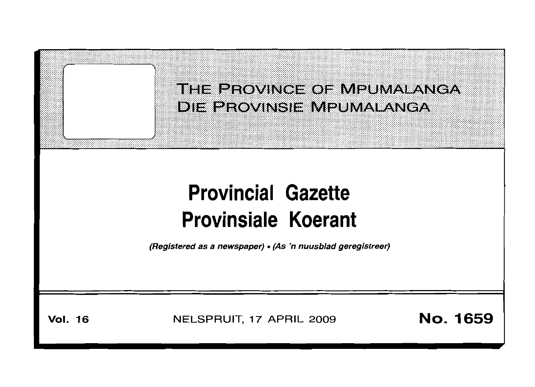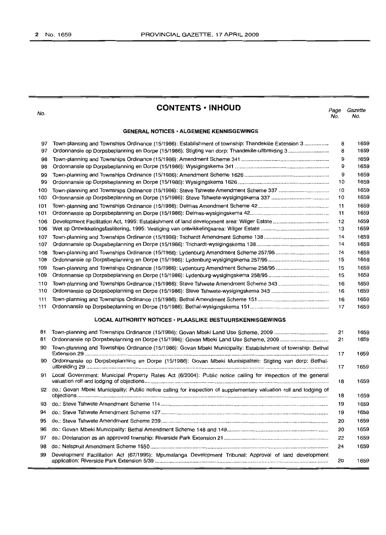No.

**CONTENTS • INHOUD**

*Page Gazette* No. No.

1659

1659

#### **GENERAL NOTICES· ALGEMENE KENNISGEWINGS**

| 97  | Town-planning and Townships Ordinance (15/1986): Establishment of township: Thandeklile Extension 3          | 8  | 1659 |
|-----|--------------------------------------------------------------------------------------------------------------|----|------|
| 97  |                                                                                                              | 8  | 1659 |
| 98  |                                                                                                              | 9  | 1659 |
| 98  |                                                                                                              | 9  | 1659 |
| 99  |                                                                                                              | 9  | 1659 |
| 99  |                                                                                                              | 10 | 1659 |
| 100 | Town-planning and Townships Ordinance (15/1986): Steve Tshwete Amendment Scheme 337                          | 10 | 1659 |
| 100 |                                                                                                              | 10 | 1659 |
| 101 |                                                                                                              | 11 | 1659 |
| 101 |                                                                                                              | 11 | 1659 |
| 106 |                                                                                                              | 12 | 1659 |
| 106 |                                                                                                              | 13 | 1659 |
| 107 |                                                                                                              | 14 | 1659 |
| 107 |                                                                                                              | 14 | 1659 |
| 108 | Town-planning and Townships Ordinance (15/1986): Lydenburg Amendment Scheme 257/95                           | 14 | 1659 |
| 108 |                                                                                                              | 15 | 1659 |
| 109 | Town-planning and Townships Ordinance (15/1986): Lydenburg Amendment Scheme 258/95                           | 15 | 1659 |
| 109 |                                                                                                              | 15 | 1659 |
| 110 | Town-planning and Townships Ordinance (15/1986): Steve Tshwete Amendment Scheme 343                          | 16 | 1659 |
| 110 |                                                                                                              | 16 | 1659 |
| 111 |                                                                                                              | 16 | 1659 |
| 111 |                                                                                                              | 17 | 1659 |
|     | <b>LOCAL AUTHORITY NOTICES · PLAASLIKE BESTUURSKENNISGEWINGS</b>                                             |    |      |
| 81  | Town-planning and Townships Ordinance (15/1986): Govan Mbeki Land Use Scheme, 2009                           | 21 | 1659 |
| 81  | Ordonnansie op Dorpsbeplanning en Dorpe (15/1986): Govan Mbeki Land Use Scheme, 2009                         | 21 | 1659 |
| 90  | Town-planning and Townships Ordinance (15/1986): Govan Mbeki Municipality: Establishment of township: Bethal | 17 | 1659 |
| 90  | Ordonnansie op Dorpsbeplanning en Dorpe (15/1986): Govan Mbeki Munisipaliteit: Stigting van dorp: Bethal-    | 17 | 1659 |

91 Local Government: Municipal Property Rates Act (6/2004): Public notice calling for inspection of the general valuation roll and lodging of objections . 92 do.; Govan Mbeki Municipality: Public notice calling for inspection of supplementary valuation roll and lodging of objections . do.: Steve Tshwete Amendment Scheme 114 . do.: Steve Tshwete Amendment Scheme 127 . do.: Steve Tshwete Amendment Scheme 239 .. do.: Govan Mbeki Municipality: Bethal Amendment Scheme 148 and 149 .. do.: Declaration as an approved township: Riverside Park Extension 21 .. do.: Nelspruit Amendment Scheme 1550 .. Development Facilitation Act (67/1995): Mpumalanga Development Tribunal: Approval of land development application: Riverside Park Extension 5/39 ..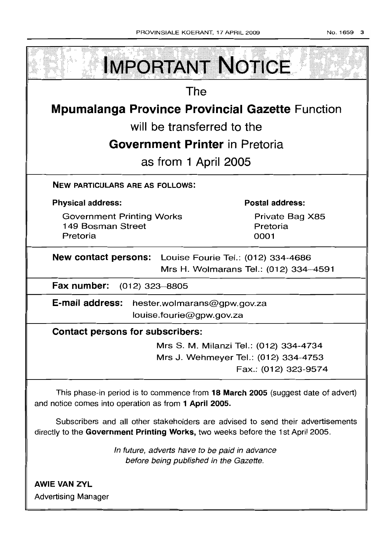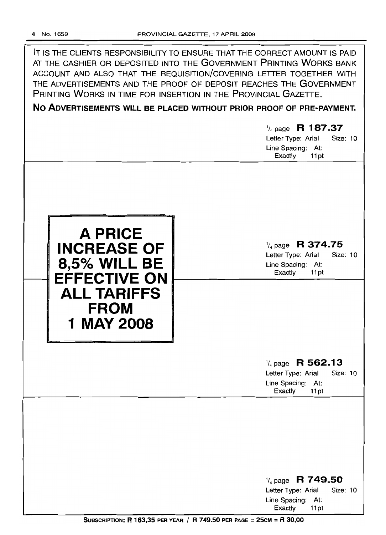IT IS THE CLIENTS RESPONSIBILITY TO ENSURE THAT THE CORRECT AMOUNT IS PAID AT THE CASHIER OR DEPOSITED INTO THE GOVERNMENT PRINTING WORKS BANK ACCOUNT AND ALSO THAT THE REQUISITION/COVERING LEITER TOGETHER WITH THE ADVERTISEMENTS AND THE PROOF OF DEPOSIT REACHES THE GOVERNMENT PRINTING WORKS IN TIME FOR INSERTION IN THE PROVINCIAL GAZETTE.

**No ADVERTISEMENTS WILL BE PLACED WITHOUT PRIOR PROOF OF PRE-PAYMENT.**

1/4 page **R 187.37** Letter Type: Arial Size: 10 Line Spacing: At: Exactly 11pt **A PRICE INCREASE OF 8,5% WILL BE EFFECTIVE ON ALL TARIFFS FROM 1 MAY 2008** 1/4 page **R 374.75** Letter Type: Arial Size: 10 Line Spacing: At: Exactly 11 pt 1/4 page **R 562.13** Letter Type: Arial Size: 10 Line Spacing: At: Exactly 11pt 1/4 page **R 749.50** Letter Type: Arial Size: 10

Line Spacing: At: Exactly 11 pt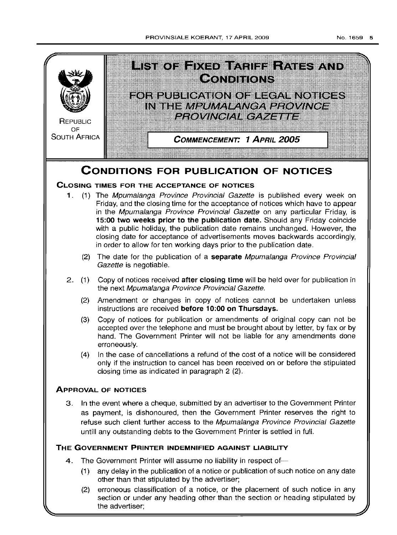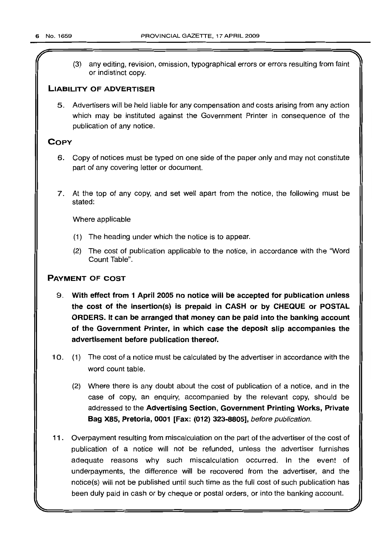(3) any editing, revision, omission, typographical errors or errors resulting from faint or indistinct copy.

# **LIABILITY OF ADVERTISER**

5. Advertisers will be held liable for any compensation and costs arising from any action which may be instituted against the Government Printer in consequence of the publication of any notice.

# **COpy**

- 6. Copy of notices must be typed on one side of the paper only and may not constitute part of any covering letter or document.
- 7. At the top of any copy, and set well apart from the notice, the following must be stated:

Where applicable

- (1) The heading under which the notice is to appear.
- (2) The cost of publication applicable to the notice, in accordance with the "Word Count Table".

# **PAYMENT OF COST**

- 9. **With effect from 1 April 2005 no notice will be accepted for publication unless the cost of the insertion(s) is prepaid in CASH or by CHEQUE or POSTAL ORDERS. It can be arranged that money can be paid into the banking account of the Government Printer, in which case the deposit slip accompanies the advertisement before** publlcation **thereof.**
- 10. (1) The cost of a notice must be calculated by the advertiser in accordance with the word count table.
	- (2) Where there is any doubt about the cost of publication of a notice, and in the case of copy, an enquiry, accompanied by the relevant copy, should be addressed to the **Advertising Section, Government Printing Works, Private Bag X85, Pretoria, 0001 [Fax: (012) 323-8805],** before publication.
- **11**. Overpayment resulting from miscalculation on the part of the advertiser of the cost of publication of a notice will not be refunded, unless the advertiser furnishes adequate reasons why such miscalculation occurred. In the event of underpayments, the difference will be recovered from the advertiser, and the notice(s) will not be published until such time as the full cost of such publication has been duly paid in cash or by cheque or postal orders, or into the banking account.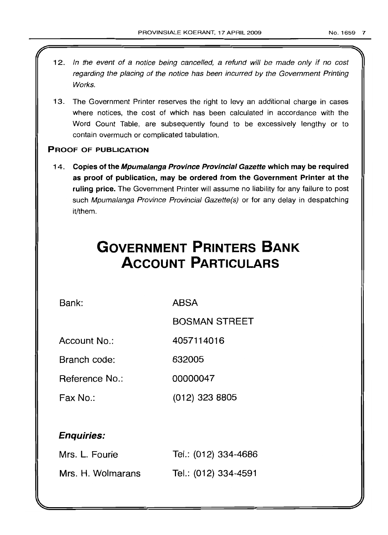- 12. In the event of a notice being cancelled, a refund will be made only if no cost regarding the placing of the notice has been incurred by the Government Printing Works.
- 13. The Government Printer reserves the right to levy an additional charge in cases where notices, the cost of which has been calculated in accordance with the Word Count Table, are subsequently found to be excessively lengthy or to contain overmuch or complicated tabulation.

# PROOF OF PUBLICATION

14. Copies of the Mpumalanga Province Provincial Gazette which may be required as proof of publication, may be ordered from the Government Printer at the ruling price. The Government Printer will assume no liability for any failure to post such Mpumalanga Province Provincial Gazette(s) or for any delay in despatching it/them.

# **GOVERNMENT PRINTERS BANK ACCOUNT PARTICULARS**

Bank: ABSA

BOSMAN STREET

Account No.: 4057114016

Branch code: 632005

Reference No.: 00000047

Fax No.: (012) 323 8805

# Enquiries:

| Mrs. L. Fourie    | Tel.: (012) 334-4686 |
|-------------------|----------------------|
| Mrs. H. Wolmarans | Tel.: (012) 334-4591 |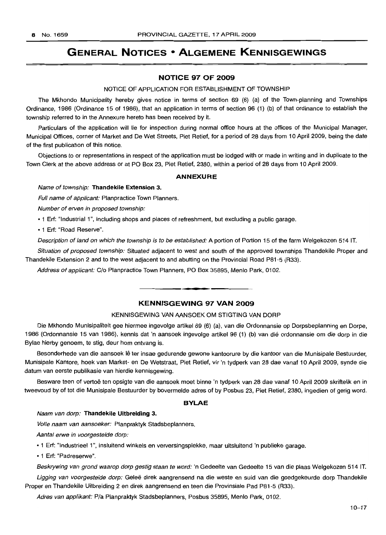# **GENERAL NOTICES • ALGEMENE KENNISGEWINGS**

# **NOTICE 97 OF 2009**

#### NOTICE OF APPLICATION FOR ESTABLISHMENT OF TOWNSHIP

The Mkhondo Municipality hereby gives notice in terms of section 69 (6) (a) of the Town-planning and Townships Ordinance, 1986 (Ordinance 15 of 1986), that an application in terms of section 96 (1) (b) of that ordinance to establish the township referred to in the Annexure hereto has been received by it.

Particulars of the application will lie for inspection during normal office hours at the offices of the Municipal Manager, Municipal Offices, corner of Market and De Wet Streets, Piet Retief, for a period of 28 days from 10 April 2009, being the date of the first publication of this notice.

Objections to or representations in respect of the application must be lodged with or made in writing and in duplicate to the Town Clerk at the above address or at PO Box 23, Piet Retief, 2380, within a period of 28 days from 10 April 2009.

#### **ANNEXURE**

Name of township: **Thandekile Extension** 3.

Full name of applicant: Planpractice Town Planners.

Number of erven in proposed township:

• 1 Erf: "Industrial 1", including shops and places of refreshment, but excluding a public garage.

• 1 Erf: "Road Reserve".

Description of land on which the township is to be established: A portion of Portion 15 of the farm Welgekozen 514 IT.

Situation of proposed township: Situated adjacent to west and south of the approved townships Thandekile Proper and Thandekile Extension 2 and to the west adjacent to and abutting on the Provincial Road P81-5 (R33).

Address of applicant: C/o Planpractice Town Planners, PO Box 35895, Menlo Park, 0102.

# **KENNISGEWING 97 VAN 2009**

.**- .**

### KENNISGEWING VAN AANSOEK OM STIGTING VAN DORP

Die Mkhondo Munisipaliteit gee hiermee ingevolge artikel 69 (6) (a), van die Ordonnansie op Dorpsbeplanning en Dorpe, 1986 (Ordonnansie 15 van 1986), kennis dat 'n aansoek ingevolge artikel 96 (1) (b) van die ordonnansie om die dorp in die Bylae hierby genoem, te stig, deur hom ontvang is.

Besonderhede van die aansoek lê ter insae gedurende gewone kantoorure by die kantoor van die Munisipale Bestuurder, Munisipale Kantore, hoek van Market- en De Wetstraat, Piet Retief, vir 'n tydperk van 28 dae vanaf 10 April 2009, synde die datum van eerste publikasie van hierdie kennisgewing.

Besware teen of vertoë ten opsigte van die aansoek moet binne 'n tydperk van 28 dae vanaf 10 April 2009 skriftelik en in tweevoud by of tot die Munisipale Bestuurder by bovermelde adres of by Posbus 23, Piet Retief, 2380, ingedien of gerig word.

# **BYLAE**

Naam van dorp: **Thandekile Uitbreiding** 3.

Volle naam van aansoeker: Planpraktyk Stadsbeplanners.

Aantal erwe in voorgestelde dorp:

·1 Erf: "Industrieel 1", insluitend winkels en verversingsplekke, maar uitsluitend 'n publieke garage.

• 1 Erf: "Padreserwe".

Beskrywing van grond waarop dorp gestig staan te word: 'n Gedeelte van Gedeelte 15 van die plaas Welgekozen 514 IT.

Ligging van voorgestelde dorp: Geleë direk aangrensend na die weste en suid van die goedgekeurde dorp Thandekile Proper en Thandekile Uitbreiding 2 en direk aangrensend en teen die Provinsiale Pad P81-5 (R33).

Adres van applikant: Pia Planpraktyk Stadsbeplanners, Posbus 35895, Menlo Park, 0102.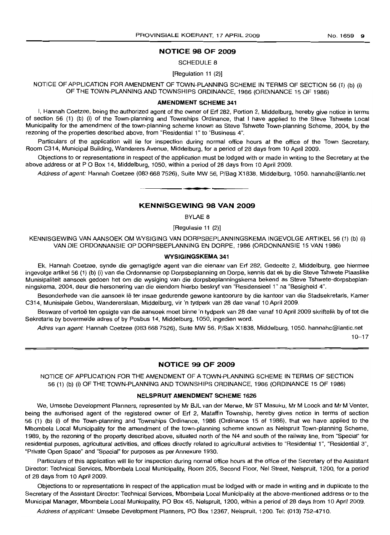# **NOTICE 98 OF 2009**

SCHEDULE 8

[Regulation 11 (2)]

NOTICE OF APPLICATION FOR AMENDMENT OF TOWN-PLANNING SCHEME IN TERMS OF SECTION 56 (1) (b) (i) OF THE TOWN-PLANNING AND TOWNSHIPS ORDINANCE, 1986 (ORDINANCE 15 OF 1986)

#### **AMENDMENT SCHEME 341**

I, Hannah Coetzee, being the authorized agent of the owner of Erf 282, Portion 2, Middelburg, hereby give notice in terms of section 56 (1) (b) (i) of the Town-planning and Townships Ordinance, that I have applied to the Steve Tshwete Local Municipality for the amendment of the town-planning scheme known as Steve Tshwete Town-planning Scheme, 2004, by the rezoning of the properties described above, from "Residential 1" to "Business 4".

Particulars of the application will lie for inspection during normal office hours at the office of the Town Secretary, Room C314, Municipal Building, Wanderers Avenue, Middelburg, for a period of 28 days from 10 April 2009.

Objections to or representations in respect of the application must be lodged with or made in writing to the Secretary at the above address or at P O Box 14, Middelburg, 1050, within a period of 28 days from 10 April 2009.

Address of agent: Hannah Coetzee (083 668 7526), Suite MW 56, P/Bag X1838, Middelburg, 1050. hannahc@lantic.net **- .**

## **KENNISGEWING 98 VAN 2009**

BYLAE 8

[Regulasie 11 (2)]

KENNISGEWING VAN AANSOEK OM WYSIGING VAN DORPSBEPLANNINGSKEMA INGEVOLGE ARTIKEL 56 (1) (b) (i) VAN DIE ORDONNANSIE OP DORPSBEPLANNING EN DORPE, 1986 (ORDONNANSIE 15 VAN 1986)

#### **WYSIGINGSKEMA 341**

Ek, Hannah Coetzee, synde die gemagtigde agent van die eienaar van Erf 282, Gedeelte 2, Middelburg, gee hiermee ingevolge artikel 56 (1) (b) (i) van die Ordonnansie op Dorpsbeplanning en Dorpe, kennis dat ek by die Steve Tshwete Plaaslike Munisipaliteit aansoek gedoen het om die wysiging van die dorpsbeplanningskema bekend as Steve Tshwete-dorpsbeplanningskema, 2004, deur die hersonering van die eiendom hierbo beskryf van "Residensieel 1" na "Besigheid 4".

Besonderhede van die aansoek lê ter insae gedurende gewone kantoorure by die kantoor van die Stadsekretaris, Kamer C314, Munisipale Gebou, Wandererslaan, Middelburg, vir 'n tydperk van 28 dae vanaf 10 April 2009.

Besware of vertoë ten opsigte van die aansoek moet binne 'n tydperk van 28 dae vanaf 10 April 2009 skriftelik by of tot die Sekretaris by bovermelde adres of by Posbus 14, Middelburg, 1050, ingedien word.

Adres van agent: Hannah Coetzee (083 668 7526), Suite MW 56, P/Sak X1838, Middelburg, 1050. hannahc@lantic.net

10-17

# **NOTICE 99 OF 2009**

NOTICE OF APPLICATION FOR THE AMENDMENT OF A TOWN-PLANNING SCHEME IN TERMS OF SECTION 56 (1) (b) (i) OF THE TOWN-PLANNING AND TOWNSHIPS ORDINANCE, 1986 (ORDINANCE 15 OF 1986)

#### **NELSPRUIT AMENDMENT SCHEME 1626**

We, Umsebe Development Planners, represented by Mr BJL van der Merwe, Mr ST Masuku, Mr M Loock and Mr M Venter, being the authorised agent of the registered owner of Erf 2, Mataffin Township, hereby gives notice in terms of section 56 (1) (b) (i) of the Town-planning and Townships Ordinance, 1986 (Ordinance 15 of 1986), that we have applied to the Mbombela Local Municipality for the amendment of the town-planning scheme known as Nelspruit Town-planning Scheme, 1989, by the rezoning of the property described above, situated north of the N4 and south of the railway line, from "Special" for residential purposes, agricultural activities, and offices directly related to agricultural activities to "Residential 1", "Residential 3", "Private Open Space" and "Special" for purposes as per Annexure 1930.

Particulars of this application will lie for inspection during normal office hours at the office of the Secretary of the Assistant Director: Technical Services, Mbombela Local Municipality, Room 205, Second Floor, Nel Street, Nelspruit, 1200, for a period of 28 days from 10 April 2009.

Objections to or representations in respect of the application must be lodged with or made in writing and in duplicate to the Secretary of the Assistant Director: Technical Services, Mbombela Local Municipality at the above-mentioned address or to the Municipal Manager, Mbombela Local Municipality, PO Box 45, Nelspruit, 1200, within a period of 28 days from 10 April 2009.

Address of applicant: Umsebe Development Planners, PO Box 12367, Nelspruit, 1200. Tel: (013) 752-4710.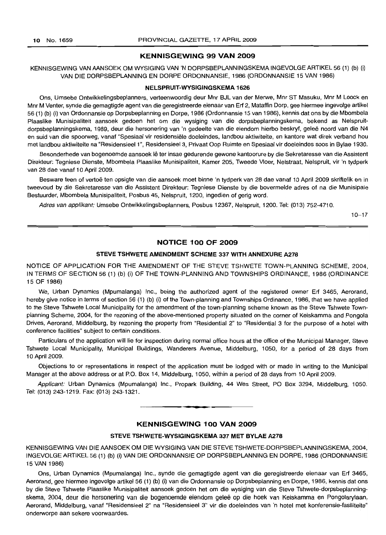# **KENNISGEWING 99 VAN 2009**

# KENNISGEWING VAN AANSOEK OM WYSIGING VAN 'N DORPSBEPLANNINGSKEMA INGEVOLGE ARTIKEL 56 (1) (b) (i) VAN DIE DORPSBEPLANNING EN DORPE ORDONNANSIE, 1986 (ORDONNANSIE 15 VAN 1986)

#### **NELSPRUIT-WYSIGINGSKEMA 1626**

Ons, Umsebe Ontwikkelingsbeplanners, verteenwoordig deur Mnr BJL van der Merwe, Mnr ST Masuku, Mnr M Loock en Mnr M Venter, synde die gemagtigde agent van die geregistreerde eienaar van Erf 2, Mataffin Dorp, gee hiermee ingevolge artikel 56 (1) (b) (i) van Ordonnansie op Dorpsbeplanning en Dorpe, 1986 (Ordonnansie 15 van 1986), kennis dat ons by die Mbombela Plaaslike Munisipaliteit aansoek gedoen het om die wysiging van die dorpsbeplanningskema, bekend as Nelspruitdorpsbeplanningskema, 1989, deur die hersonering van 'n gedeelte van die eiendom hierbo beskryf, geleë noord van die N4 en suid van die spoorweg, vanaf "Spesiaal vir residensiële doeleindes, landbou aktiwiteite, en kantore wat direk verband hou met landbou aktiwiteite na "Residensieel 1", Residensieel 3, Privaat Oop Ruimte en Spesiaal vir doeleindes soos in Bylae 1930.

Besonderhede van bogenoemde aansoek lê ter insae gedurende gewone kantoorure by die Sekretaresse van die Assistent Direkteur: Tegniese Dienste, Mbombela Plaaslike Munisipaliteit, Kamer 205, Tweede Vloer, Nelstraat, Nelspruit, vir 'n tydperk van 28 dae vanaf 10 April 2009.

Besware teen of vertoë ten opsigte van die aansoek moet binne 'n tydperk van 28 dae vanaf 10 April 2009 skriftelik en in tweevoud by die Sekretaresse van die Assistent Direkteur: Tegniese Dienste by die bovermelde adres of na die Munisipale Bestuurder, Mbombela Munisipaliteit, Posbus 45, Nelspruit, 1200, ingedien of gerig word.

Adres van applikant: Umsebe Ontwikkelingsbeplanners, Posbus 12367, Nelspruit, 1200. Tel: (013) 752-4710.

10-17

#### **NOTICE 100 OF 2009**

#### **STEVE TSHWETE AMENDMENT SCHEME 337 WITH ANNEXURE** A278

NOTICE OF APPLICATION FOR THE AMENDMENT OF THE STEVE TSHWETE TOWN-PLANNING SCHEME, 2004, IN TERMS OF SECTION 56 (1) (b) (i) OF THE TOWN-PLANNING AND TOWNSHIPS ORDINANCE, 1986 (ORDINANCE 15 OF 1986)

We, Urban Dynamics (Mpumalanga) Inc., being the authorized agent of the registered owner Erf 3465, Aerorand, hereby give notice in terms of section 56 (1) (b) (i) of the Town-planning and Townships Ordinance, 1986, that we have applied to the Steve Tshwete Local Municipality for the amendment of the town-planning scheme known as the Steve Tshwete Townplanning Scheme, 2004, for the rezoning of the above-mentioned property situated on the corner of Keiskamma and Pongola Drives, Aerorand, Middelburg, by rezoning the property from "Residential 2" to "Residential 3 for the purpose of a hotel with conference facilities" subject to certain conditions.

Particulars of the application will lie for inspection during normal office hours at the office of the Municipal Manager, Steve Tshwete Local Municipality, Municipal Buildings, Wanderers Avenue, Middelburg, 1050, for a period of 28 days from 10 April 2009.

Objections to or representations in respect of the application must be lodged with or made in writing to the Municipal Managerat the above address or at P.O. Box 14, Middelburg, 1050, within a period of 28 days from 10 April 2009.

Applicant: Urban Dynamics (Mpumalanga) Inc., Propark Building, 44 Wes Street, PO Box 3294, Middelburg, 1050. Tel: (013) 243-1219. Fax: (013) 243-1321.

# **KENNISGEWING 100 VAN 2009**

**I •**

#### **STEVE TSHWETE-WYSIGINGSKEMA 337 MET BYLAE A278**

KENNISGEWING VAN DIE AANSOEK OM DIE WYSIGING VAN DIE STEVE TSHWETE-DORPSBEPLANNINGSKEMA, 2004, INGEVOLGEARTIKEL56 (1) (b) (i) VAN DIE ORDONNANSIE OP DORPSBEPLANNING EN DORPE, 1986 (ORDONNANSIE 15 VAN 1986)

Ons, Urban Dynamics (Mpumalanga) Inc., synde die gemagtigde agent van die geregistreerde eienaar van Erf 3465, Aerorand, gee hiermee ingevolge artikel 56 (1) (b) (i) van die Ordonnansie op Dorpsbeplanning en Dorpe, 1986, kennis dat ons by die Steve Tshwete Plaaslike Munisipaliteit aansoek gedoen het om die wysiging van die Steve Tshwete-dorpsbeplanningskema, 2004, deur die hersonering van die bogenoemde eiendom gelee op die hoek van Keiskamma en Pongolarylaan, Aerorand, Middelburg, vanaf "Residensieel 2" na "Residensieel 3" vir die doeleindes van 'n hotel met konferensie-fasiliteite" onderworpe aan sekere voorwaardes.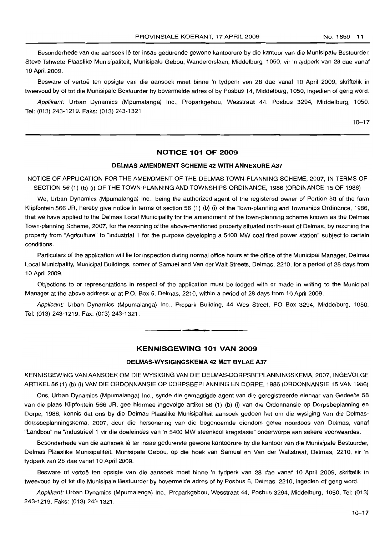Besonderhede van die aansoek lê ter insae gedurende gewone kantoorure by die kantoor van die Munisipale Bestuurder, Steve Tshwete Plaaslike Munisipaliteit, Munisipale Gebou, Wandererslaan, Middelburg, 1050, vir 'n tydperk van 28 dae vanaf 10 April 2009.

Besware of vertoë ten opsigte van die aansoek moet binne 'n tydperk van 28 dae vanaf 10 April 2009, skriftelik in tweevoud by of tot die Munisipale Bestuurder by bovermelde adres of by Posbus 14, Middelburg, 1050, ingedien of gerig word.

Applikant: Urban Dynamics (Mpumalanga) Inc., Proparkgebou, Wesstraat 44, Posbus 3294, Middelburg, 1050. Tel: (013) 243-1219. Faks: (013) 243-1321.

 $10 - 17$ 

# **NOTICE 101 OF 2009**

#### **DELMAS AMENDMENT SCHEME 42 WITH ANNEXURE A37**

NOTICE OF APPLICATION FOR THE AMENDMENT OF THE DELMAS TOWN-PLANNING SCHEME, 2007, IN TERMS OF SECTION 56 (1) (b) (i) OF THE TOWN-PLANNING AND TOWNSHIPS ORDINANCE, 1986 (ORDINANCE 15 OF 1986)

We, Urban Dynamics (Mpumalanga) Inc., being the authorized agent of the registered owner of Portion 58 of the farm Klipfontein 566 JR, hereby give notice in terms of section 56 (1) (b) (i) of the Town-planning and Townships Ordinance, 1986, that we have applied to the Delmas Local Municipality for the amendment of the town-planning scheme known as the Delmas Town-planning Scheme, 2007, for the rezoning of the above-mentioned property situated north-east of Delmas, by rezoning the property from "Agriculture" to "Industrial 1 for the purpose developing a 5400 MW coal fired power station" subject to certain conditions.

Particulars of the application will lie for inspection during normal office hours at the office of the Municipal Manager, Delmas Local Municipality, Municipal Buildings, corner of Samuel and Van der Walt Streets, Delmas, 2210, for a period of 28 days from 10 April 2009.

Objections to or representations in respect of the application must be lodged with or made in writing to the Municipal Manager at the above address or at P.O. Box 6, Delmas, 2210, within a period of 28 days from 10 April 2009.

Applicant: Urban Dynamics (Mpumalanga) Inc., Propark Building, 44 Wes Street, PO Box 3294, Middelburg, 1050. Tel: (013) 243-1219. Fax: (013) 243-1321.

**. -**

# **KENNISGEWING 101 VAN 2009**

#### **DELMAS-WYSIGINGSKEMA 42 MET BYLAE A37**

KENNISGEWING VAN AANSOEK OM DIE WYSIGING VAN DIE DELMAS-DORPSBEPLANNINGSKEMA, 2007, INGEVOLGE ARTIKEL 56 (1) (b) (i) VAN DIE ORDONNANSIE OP DORPSBEPLANNING EN DORPE, 1986 (ORDONNANSIE 15 VAN 1986)

Ons, Urban Dynamics (Mpumalanga) lnc., synde die gemagtigde agent van die geregistreerde eienaar van Gedeelte 58 van die plaas Klipfontein 566 JR, gee hiermee ingevolge artikel 56 (1) (b) (i) van die Ordonnansie op Dorpsbeplanning en Dorpe, 1986, kennis dat ons by die Delmas Plaaslike Munisipaliteit aansoek gedoen het om die wysiging van die Delmasdorpsbeplanningskema, 2007, deur die hersonering van die bogenoemde eiendom qelee noordoos van Delmas, vanaf "Landbou" na "Industrieel 1 vir die doeleindes van 'n 5400 MW steenkool kragstasie" onderworpe aan sekere voorwaardes.

Besonderhede van die aansoek lê ter insae gedurende gewone kantoorure by die kantoor van die Munisipale Bestuurder, Delmas Plaaslike Munisipaliteit, Munisipale Gebou, op die hoek van Samuel en Van der Waltstraat, Delmas, 2210, vir 'n tydperk van 28 dae vanaf 10 April 2009.

Besware of vertoe ten opsigte van die aansoek moet binne 'n tydperk van 28 dae vanaf 10 April 2009, skriftelik in tweevoud by of tot die Munisipale Bestuurder by bovermelde adres of by Posbus 6, Delmas, 2210, ingedien of gerig word.

Applikant: Urban Dynamics (Mpumalanga) Inc., Proparkgebou, Wesstraat 44, Posbus 3294, Middelburg, 1050. Tel: (013) 243-1219. Faks: (013) 243-1321.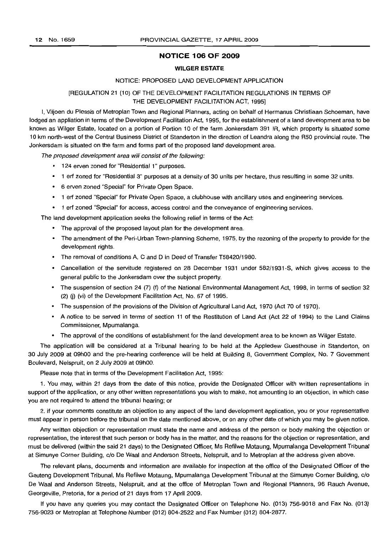# **NOTICE 106 OF 2009**

#### **WILGER ESTATE**

#### NOTICE: PROPOSED LAND DEVELOPMENT APPLICATION

# (REGULATION 21 (10) OF THE DEVELOPMENT FACILITATION REGULATIONS IN TERMS OF THE DEVELOPMENT FACILITATION ACT, 1995]

I, Viljoen du Plessis of Metroplan Town and Regional Planners, acting on behalf of Hermanus Christiaan Schoeman, have lodged an appliation in terms of the Development Facilitation Act, 1995, for the establishment of a land development area to be known as Wilger Estate, located on a portion of Portion 10 of the farm Jonkersdam 391 IR, which property is situated some 10 km north-west of the Central Business District of Standerton in the direction of Leandra along the R50 provincial route. The Jonkersdam is situated on the farm and forms part of the proposed land development area.

The proposed development area will consist of the following:

- 124 erven zoned for "Residential 1" purposes.
- 1 erf zoned for "Residential 3" purposes at a density of 30 units per hectare, thus resulting in some 32 units.
- 6 erven zoned "Special" for Private Open Space.
- 1 erf zoned "Special" for Private Open Space, a clubhouse with ancillary uses and engineering services.
- 1 erf zoned "Special" for access, access control and the conveyance of engineering services.

The land development application seeks the following relief in terms of the Act:

- The approval of the proposed layout plan for the development area.
- The amendment of the Peri-Urban Town-planning Scheme, 1975, by the rezoning of the property to provide for the development rights.
- The removal of conditions A, C and D in Deed of Transfer T58420/1980.
- Cancellation of the servitude registered on 28 December 1931 under 582/1931-S, which gives access to the general public to the Jonkersdam over the subject property.
- The suspension of section 24 (7) (f) of the National Environmental Management Act, 1998, in terms of section 32 (2) Q) (vi) of the Development Facilitation Act, No. 67 of 1995.
- The suspension of the provisions of the Division of Agricultural Land Act, 1970 (Act 70 of 1970).
- A notice to be served in terms of section 11 of the Restitution of Land Act (Act 22 of 1994) to the Land Claims Commissioner, Mpumalanga.
- The approval of the conditions of establishment for the land development area to be known as Wilger Estate.

The application will be considered at a Tribunal hearing to be held at the Appledew Guesthouse in Standerton, on 30 July 2009 at 09hOO and the pre-hearing conference will be held at Building 8, Government Complex, No. 7 Government Boulevard, Nelspruit, on 2 July 2009 at 09hOO.

Please note that in terms of the Development Facilitation Act, 1995:

1. You may, within 21 days from the date of this notice, provide the Designated Officer with written representations in support of the application, or any other written representations you wish to make, not amounting to an objection, in which case you are not required to attend the tribunal hearing; or

2. if your comments constitute an objection to any aspect of the land development application, you or your representative must appear in person before the tribunal on the date mentioned above, or on any other date of which you may be given notice.

Any written objection or representation must state the name and address of the person or body making the objection or representation, the interest that such person or body has in the matter, and the reasons for the objection or representation, and must be delivered (within the said 21 days) to the Designated Officer, Ms Refilwe Motaung, Mpumalanga Development Tribunal at Simunye Corner Building, c/o De Waal and Anderson Streets, Nelspruit, and to Metroplan at the address given above.

The relevant plans, documents and information are available for inspection at the office of the Designated Officer of the Gauteng Development Tribunal, Ms Refilwe Motaung, Mpumalanga Development Tribunal at the Simunye Corner Building, c/o De Waal and Anderson Streets, Nelspruit, and at the office of Metroplan Town and Regional Planners, 96 Rauch Avenue, Georgeville, Pretoria, for a period of 21 days from 17 April 2009.

If you have any queries you may contact the Designated Officer on Telephone No. (013) 756-9018 and Fax No. (013) 756-9023 or Metroplan at Telephone Number (012) 804-2522 and Fax Number (012) 804-2877.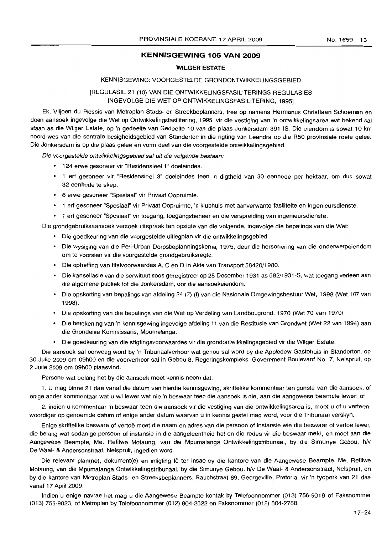# **KENNISGEWING 106 VAN 2009**

#### **WILGER ESTATE**

# KENNISGEWING: VOORGESTELDE GRONDONTWIKKELINGSGEBIED

# [REGULASIE 21 (10) VAN DIE ONTWIKKELlNGSFASILlTERINGS REGULASIES INGEVOLGE DIE WET OP ONTWIKKELlNGSFASILlTERING, 1995]

Ek, Viljoen du Plessis van Metroplan Stads- en Streekbeplanners, tree op namens Hermanus Christiaan Schoeman en doen aansoek ingevolge die Wet op Ontwikkelingsfasilitering, 1995, vir die vestiging van 'n ontwikkelingsarea wat bekend sal staan as die Wilger Estate, op 'n gedeelte van Gedeelte 10 van die plaas Jonkersdam 391 IS. Die eiendom is sowat 10 km noord-wes van die sentrale besigheidsgebied van Standerton in die rigting van Leandra op die R50 provinsiale roete gelee. Die Jonkersdam is op die plaas geleë en vorm deel van die voorgestelde ontwikkelingsgebied.

Die voorgestelde ontwikkelingsgebied sal uit die volgende bestaan:

- 124 erwe gesoneer vir "Residensieel 1" doeleindes.
- 1 erf gesoneer vir "Residensieel 3" doeleindes teen 'n digtheid van 30 eenhede per hektaar, om dus sowat 32 eenhede te skep.
- 6 erwe gesoneer "Spesiaal" vir Privaat Oopruimte.
- 1 erf gesoneer "Spesiaal" vir Privaat Oopruimte, 'n klubhuis met aanverwante fasiliteite en ingenieursdienste.
- 1 erf gesoneer "Spesiaal" vir toegang, toegangsbeheer en die verspreiding van ingenieursdienste.

Die grondgebruiksaansoek versoek uitspraak ten opsigte van die volgende, ingevolge die bepalings van die Wet:

- Die goedkeuring van die voorgestelde uitlegplan vir die ontwikkelingsgebied.
- Die wysiging van die Peri-Urban Dorpsbeplanningskema, 1975, deur die hersonering van die onderwerpeiendom om te voorsien vir die voorgestelde grondgebruiksregte.
- Die opheffing van titelvoorwaardes A, C en D in Akte van Transport 58420/1980.
- Die kansellasie van die serwituut soos geregistreer op 28 Desember 1931 as 582/1931-S, wat toegang verleen aan die algemene publiek tot die Jonkersdam, oor die aansoekeiendom.
- Die opskorting van bepalings van afdeling 24 (7) (f) van die Nasionale Omgewingsbestuur Wet, 1998 (Wet 107 van 1998).
- Die opskorting van die bepalings van die Wet op Verdeling van Landbougrond, 1970 (Wet 70 van 1970).
- Die betekening van 'n kennisgewing ingevolge afdeling 11 van die Restitusie van Grondwet (Wet 22 van 1994) aan die Grondeise Kommissaris, Mpumalanga.
- Die goedkeuring van die stigtingsvoorwaardes vir die grondontwikkelingsgebied vir die Wilger Estate.

Die aansoek sal oorweeg word by 'n Tribunaalverhoor wat gehou sal word by die Appledew Gastehuis in Standerton, op 30 Julie 2009 om 09hOO en die voorverhoor sal in Gebou 8, Regeringskompleks, Government Boulevard No.7, Nelspruit, op 2 Julie 2009 om 09hOO plaasvind.

Persone wat belang het by die aansoek moet kennis neem dat:

1. U mag binne 21 dae vanaf die datum van hierdie kennisgewing, skriftelike kommentaar ten gunste van die aansoek, of enige ander kommentaar wat u wil lewer wat nie 'n beswaar teen die aansoek is nie, aan die aangewese beampte lewer; of

2. indien u kommentaar 'n beswaar teen die aansoek vir die vestiging van die ontwikkelingsarea is, moet u of u verteenwoordiger op genoemde datum of enige ander datum waarvan u in kennis gestel mag word, voor die Tribunaal verskyn.

Enige skriftelike besware of vertoë moet die naam en adres van die persoon of instansie wie die beswaar of vertoë lewer, die belang wat sodanige persoon of instansie in die aangeleentheid het en die redes vir die beswaar meld, en moet aan die Aangewese Beampte, Me. Refilwe Motaung, van die Mpumalanga Ontwikkelingstribunaal, by die Simunye Gebou, h/v De Waal- & Andersonstraat, Nelspruit, ingedien word.

Die relevant plan(ne), dokument(e) en inligting lê ter insae by die kantore van die Aangewese Beampte, Me. Refilwe Motaung, van die Mpumalanga Ontwikkelingstribunaal, by die Simunye Gebou, h/v De Waal- & Andersonstraat, Nelspruit, en by die kantore van Metroplan Stads- en Streeksbeplanners, Rauchstraat 69, Georgeville, Pretoria, vir 'n tydperk van 21 dae vanaf 17 April 2009.

Indien u enige navrae het mag u die Aangewese Beampte kontak by Telefoonnommer (013) 756-9018 of Faksnommer (013) 756-9023, of Metroplan by Telefoonnommer (012) 804-2522 en Faksnommer (012) 804-2788.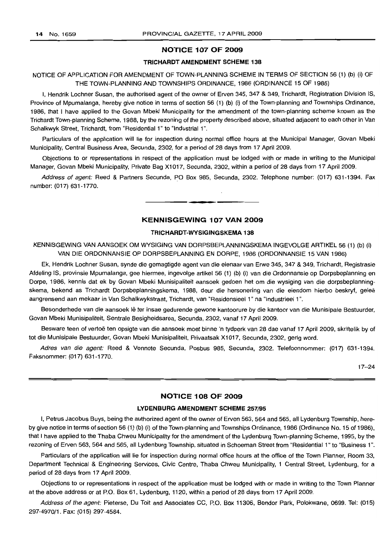# **NOTICE 107 OF 2009**

#### **TRICHAROT AMENDMENT SCHEME 138**

# NOTICE OF APPLICATION FOR AMENDMENT OF TOWN-PLANNING SCHEME IN TERMS OF SECTION 56 (1) (b) (i) OF THE TOWN-PLANNING AND TOWNSHIPS ORDINANCE, 1986 (ORDINANCE 15 OF 1986)

I, Hendrik Lochner Susan, the authorised agent of the owner of Erven 345, 347 & 349, Trichardt, Registration Division IS, Province of Mpumalanga, hereby give notice in terms of section 56 (1) (b) (i) of the Town-planning and Townships Ordinance, 1986, that I have applied to the Govan Mbeki Municipality for the amendment of the town-planning scheme known as the Trichardt Town-planning Scheme, 1988, by the rezoning of the property described above, situated adjacent to each other in Van Schalkwyk Street, Trichardt, from "Residential 1" to "Industrial 1".

Particulars of the application will lie for inspection during normal office hours at the Municipal Manager, Govan Mbeki Municipality, Central Business Area, Secunda, 2302, for a period of 28 days from 17 April 2009.

Objections to or representations in respect of the application must be lodged with or made in writing to the Municipal Manager, Govan Mbeki Municipality, Private Bag X1017, Secunda, 2302, within a period of 28 days from 17 April 2009.

Address of agent: Reed & Partners Secunda, PO Box 985, Secunda, 2302. Telephone number: (017) 631-1394. Fax number: (017) 631-1770.

# **KENNISGEWING 107 VAN 2009**

**• •**

#### **TRICHARDT-WYSIGINGSKEMA 138**

KENNISGEWING VAN AANSOEK OM WYSIGING VAN DORPSBEPLANNINGSKEMA INGEVOLGE ARTIKEL 56 (1) (b) (i) VAN DIE ORDONNANSIE OP DORPSBEPLANNING EN DORPE, 1986 (ORDONNANSIE 15 VAN 1986)

Ek, Hendrik Lochner Susan, synde die gemagtigde agent van die eienaar van Erwe 345,347 & 349, Trichardt, Registrasie Afdeling IS, provinsie Mpumalanga, gee hiermee, ingevolge artikel 56 (1) (b) (i) van die Ordonnansie op Dorpsbeplanning en Dorpe, 1986, kennis dat ek by Govan Mbeki Munisipaliteit aansoek gedoen het om die wysiging van die dorpsbeplanningskema, bekend as Trichardt Dorpsbeplanningskema, 1988, deur die hersonering van die eiendom hierbo beskryf, gelee aangrensend aan mekaar in Van Schalkwykstraat, Trichardt, van "Residensieel 1" na "Industrieel 1".

Besonderhede van die aansoek lê ter insae gedurende gewone kantoorure by die kantoor van die Munisipale Bestuurder, Govan Mbeki Munisipaliteit, Sentrale Besigheidsarea, Secunda, 2302, vanaf 17 April 2009.

Besware teen of vertoë ten opsigte van die aansoek moet binne 'n tydperk van 28 dae vanaf 17 April 2009, skriftelik by of tot die Munisipale Bestuurder, Govan Mbeki Munisipaliteit, Privaatsak X1017, Secunda, 2302, gerig word.

Adres van die agent: Reed & Vennote Secunda, Posbus 985, Secunda, 2302. Telefoonnommer: (017) 631-1394. Faksnommer: (017) 631-1770.

17-24

# **NOTICE 108 OF 2009**

# **LYDENBURG AMENDMENT SCHEME** 257/95

I, Petrus Jacobus Buys, being the authorized agent of the owner of Erven 563, 564 and 565, all Lydenburg Township, hereby give notice in terms of section 56 (1) (b) (i) of the Town-planning and Townships Ordinance, 1986 (Ordinance No. 15 of 1986), that I have applied to the Thaba Chweu Municipality for the amendment of the Lydenburg Town-planning Scheme, 1995, by the rezoning of Erven 563, 564 and 565, all Lydenburg Township, situated in Schoeman Street from "Residential 1" to "Business 1".

Particulars of the application will lie for inspection during normal office hours at the office of the Town Planner, Room 33, Department Technical & Engineering Services, Civic Centre, Thaba Chweu Municipality, 1 Central Street, Lydenburg, for a period of 28 days from 17 April 2009.

Objections to or representations in respect of the application must be lodged with or made in writing to the Town Planner at the above address or at P.O. Box 61, Lydenburg, 1120, within a period of 28 days from 17 April 2009.

Address of the agent: Pieterse, Du Toit and Associates CC, P.O. Box 11306, Bendor Park, Polokwane, 0699. Tel: (015) 297-4970/1. Fax: (015) 297-4584.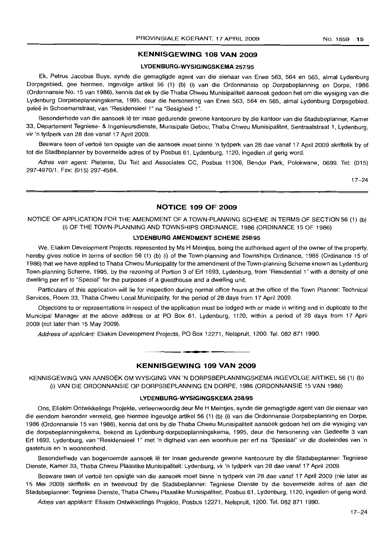# **KENNISGEWING 108 VAN 2009**

#### **LYDENBURG-WYSIGINGSKEMA** 257/95

Ek, Petrus Jacobus Buys, synde die gemagtigde agent van die eienaar van Erwe 563, 564 en 565, almal Lydenburg Dorpsgebied, gee hiermee, ingevolge artikel 56 (1) (b) (i) van die Ordonnansie op Dorpsbeplanning en Dorpe, 1986 (Ordonnansie No. 15 van 1986), kennis dat ek by die Thaba Chweu Munisipaliteit aansoek gedoen het om die wysiging van die Lydenburg Dorpsbeplanningskema, 1995, deur die hersonering van Erwe 563, 564 en 565, almal Lydenburg Dorpsgebied, geleë in Schoemanstraat, van "Residensieel 1" na "Besigheid 1".

Besonderhede van die aansoek lê ter insae gedurende gewone kantoorure by die kantoor van die Stadsbeplanner, Kamer 33, Departement Tegniese- & Ingenieursdienste, Munisipale Gebou, Thaba Chweu Munisipaliteit, Sentraalstraat 1, Lydenburg, vir 'n tydperk van 28 dae vanaf 17 April 2009.

Besware teen of vertoë ten opsigte van die aansoek moet binne 'n tydperk van 28 dae vanaf 17 April 2009 skriftelik by of tot die Stadbeplanner by bovermelde adres of by Posbus 61, Lydenburg, 1120, ingedien of gerig word.

Adres van agent: Pieterse, Du Toit and Associates CC, Posbus 11306, Bendor Park, Polokwane, 0699. Tel: (015) 297-4970/1. Fax: (015) 297-4584.

17-24

# **NOTICE 109 OF 2009**

NOTICE OF APPLICATION FOR THE AMENDMENT OF A TOWN-PLANNING SCHEME IN TERMS OF SECTION 56 (1) (b) (i) OF THE TOWN-PLANNING AND TOWNSHIPS ORDINANCE, 1986 (ORDINANCE 15 OF 1986)

# **LYDENBURG AMENDMENT SCHEME** 258/95

We, Eliakim Development Projects, represented by Ms H Meintjes, being the authorised agent of the owner of the property. hereby gives notice in terms of section 56 (1) (b) (i) of the Town-planning and Townships Ordinance, 1986 (Ordinance 15 of 1986) that we have applied to Thaba Chweu Municipality for the amendment of the Town-planning Scheme known as Lydenburg Town-planning Scheme, 1995, by the rezoning of Portion 3 of Ert 1693, Lydenburg, from "Residential 1" with a density of one dwelling per ert to "Special" for the purposes of a guesthouse and a dwelling unit.

Particulars of this application will lie for inspection during normal office hours at the office of the Town Planner: Technical Services, Room 33, Thaba Chweu Local Municipality, for the period of 28 days from 17 April 2009.

Objections to or representations in respect of the application must be lodged with or made in writing and in duplicate to the Municipal Manager at the above address or at PO Box 61, Lydenburg, 1120, within a period of 28 days from 17 April 2009 (not later than 15 May 2009).

Address of applicant: Eliakim Development Projects, PO Box 12271, Nelspruit, 1200. Tel. 082 871 1990.

# **KENNISGEWING 109 VAN 2009**

**• •**

KENNISGEWING VAN AANSOEK OM WYSIGING VAN 'N DORPSBEPLANNINGSKEMA INGEVOLGE ARTIKEL 56 (1) (b) (i) VAN DIE ORDONNANSIE OP DORPSBEPLANNING EN DORPE, 1986 (ORDONNANSIE 15 VAN 1986)

#### **LYDENBURG-WYSIGINGSKEMA** 258/95

Ons, Eliakim Ontwikkelings Projekte, verteenwoordig deur Me H Meintjes, synde die gemagtigde agent van die eienaar van die eiendom hieronder vermeld, gee hiermee ingevolge artikel 56 (1) (b) (i) van die Ordonnansie Dorpsbeplanning en Dorpe, 1986 (Ordonnansie 15 van 1986), kennis dat ons by die Thaba Chweu Munisipaliteit aansoek gedoen het om die wysiging van die dorpsbeplanningskema, bekend as Lydenburg-dorpsbeplanningskema, 1995, deur die hersonering van Gedeelte 3 van Ert 1693, Lydenburg, van "Residensieel 1" met 'n digtheid van een woonhuis per ert na "Spesiaal" vir die doeleindes van 'n gastehuis en 'n wooneenheid.

Besonderhede van bogenoemde aansoek Ie ter insae gedurende gewone kantoorure by die Stadsbeplanner: Tegniese Dienste, Kamer 33, Thaba Chweu Plaaslike Munisipaliteit: Lydenburg, vir 'n tydperk van 28 dae vanaf 17 April 2009.

Besware teen of vertoe ten opsigte van die aansoek moet binne 'n tydperk van 28 dae vanaf 17 April 2009 (nie later as 15 Mei 2009) skriftelik en in tweevoud by die Stadsbeplanner: Tegniese Dienste by die bovermelde adres of aan die Stadsbeplanner: Tegniese Dienste, Thaba Chweu Plaaslike Munisipaliteit, Pasbus 61, Lydenburg, 1120, ingedien of gerig word.

Adres van applikant: Eliakim Ontwikkelings Projekte, Posbus 12271, Nelspruit, 1200. Tel. 082 871 1990.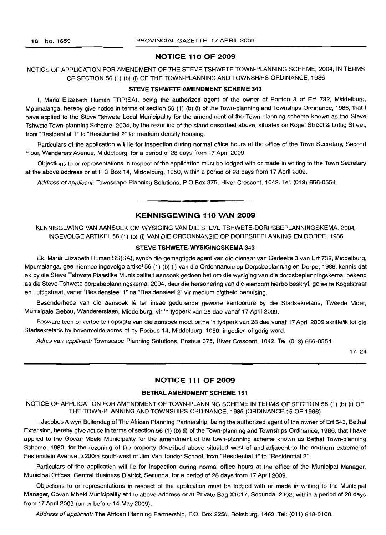#### **NOTICE 110 OF 2009**

# NOTICE OF APPLICATION FOR AMENDMENT OF THE STEVE TSHWETE TOWN-PLANNING SCHEME, 2004, IN TERMS OF SECTION 56 (1) (b) (i) OF THE TOWN-PLANNING AND TOWNSHIPS ORDINANCE, 1986

#### **STEVE TSHWETE AMENDMENT SCHEME 343**

I, Maria Elizabeth Human TRP(SA), being the authorized agent of the owner of Portion 3 of Erf 732, Middelburg, Mpumalanga, hereby give notice in terms of section 56 (1) (b) (i) of the Town-planning and Townships Ordinance, 1986, that I have applied to the Steve Tshwete Local Municipality for the amendment of the Town-planning scheme known as the Steve Tshwete Town-planning Scheme, 2004, by the rezoning of the stand described above, situated on Kogel Street & Luttig Street, from "Residential 1" to "Residential 2" for medium density housing.

Particulars of the application will lie for inspection during normal office hours at the office of the Town Secretary, Second Floor, Wanderers Avenue, Middelburg, for a period of 28 days from 17 April 2009.

Objections to or representations in respect of the application must be lodged with or made in writing to the Town Secretary at the above address or at P O Box 14, Middelburg, 1050, within a period of 28 days from 17 April 2009.

Address of applicant: Townscape Planning Solutions, P O Box 375, River Crescent, 1042. Tel. (013) 656-0554.

#### **KENNISGEWING 110 VAN 2009**

**• •**

KENNISGEWING VAN AANSOEK OM WYSIGING VAN DIE STEVE TSHWETE-DORPSBEPLANNINGSKEMA, 2004, INGEVOLGE ARTIKEL 56 (1) (b) (i) VAN DIE ORDONNANSIE OP DORPSBEPLANNING EN DORPE, 1986

#### **STEVE TSHWETE-WYSIGINGSKEMA 343**

Ek, Maria Elizabeth Human SS(SA), synde die gemagtigde agent van die eienaar van Gedeelte 3 van Erf 732, Middelburg, Mpumalanga, gee hiermee ingevolge artikel 56 (1) (b) (i) van die Ordonnansie op Dorpsbeplanning en Dorpe, 1986, kennis dat ek by die Steve Tshwete Plaaslike Munisipaliteit aansoek gedoen het om die wysiging van die dorpsbeplanningskema, bekend as die Steve Tshwete-dorpsbeplanningskema, 2004, deur die hersonering van die eiendom hierbo beskryf, geleë te Kogelstraat en Luttigstraat, vanaf "Residensieel 1" na "Residensieel 2" vir medium digtheid behuising.

Besonderhede van die aansoek lê ter insae gedurende gewone kantoorure by die Stadsekretaris, Tweede Vloer, Munisipale Gebou, Wandererslaan, Middelburg, vir 'n tydperk van 28 dae vanaf 17 April 2009.

Besware teen of vertoe ten opsigte van die aansoek moet binne 'n tydperk van 28 dae vanaf 17 April 2009 skriftelik tot die Stadsekretaris by bovermelde adres of by Posbus 14, Middelburg, 1050, ingedien of gerig word.

Adres van applikant: Townscape Planning Solutions, Posbus 375, River Crescent, 1042. Tel. (013) 656-0554.

17-24

# **NOTICE 111 OF 2009**

## **BETHAL AMENDMENT SCHEME 151**

NOTICE OF APPLICATION FOR AMENDMENT OF TOWN-PLANNING SCHEME IN TERMS OF SECTION 56 (1) (b) (i) OF THE TOWN-PLANNING AND TOWNSHIPS ORDINANCE, 1986 (ORDINANCE 15 OF 1986)

I, Jacobus Alwyn Buitendag of The African Planning Partnership, being the authorized agent of the owner of Erf 643, Bethal Extension, hereby give notice in terms of section 56 (1) (b) (i) of the Town-planning and Townships Ordinance, 1986, that I have applied to the Govan Mbeki Municipality for the amendment of the town-planning scheme known as Bethal Town-planning Scheme, 1980, for the rezoning of the property described above situated west of and adjacent to the northern extreme of Festenstein Avenue, ±200m south-west of Jim Van Tonder School, from "Residential 1" to "Residential 2".

Particulars of the application will lie for inspection during normal office hours at the office of the Municipal Manager, Municipal Offices, Central Business District, Secunda, for a period of 28 days from 17 April 2009.

Objections to or representations in respect of the application must be lodged with or made in writing to the Municipal Manager, Govan Mbeki Municipality at the above address or at Private Bag X1017, Secunda, 2302, within a period of 28 days from 17 April 2009 (on or before 14 May 2009).

Address of applicant: The African Planning Partnership, P.O. Box 2256, Boksburg, 1460. Tel: (011) 918-0100.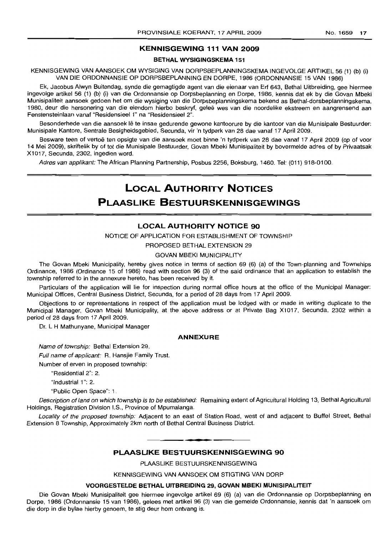# **KENNISGEWING 111 VAN 2009**

# **BETHAL WYSIGINGSKEMA** 151

KENNISGEWING VAN AANSOEK OM WYSIGING VAN DORPSBEPLANNINGSKEMA INGEVOLGE ARTIKEL 56 (1) (b) (i) VAN DIE ORDONNANSIE OP DORPSBEPLANNING EN DORPE, 1986 (ORDONNANSIE 15 VAN 1986)

Ek, Jacobus Alwyn Buitendaq, synde die gemagtigde agent van die eienaar van Erf 643, Bethal Uitbreiding, gee hiermee ingevolge artikel 56 (1) (b) (i) van die Ordonnansie op Dorpsbeplanning en Dorpe, 1986, kennis dat ek by die Govan Mbeki Munisipaliteit aansoek gedoen het om die wysiging van die Dorpsbeplanningskema bekend as Bethal-dorsbeplanningskema, 1980, deur die hersonering van die eiendom hierbo beskryf, gelee wes van die noordelike ekstreem en aangrensend aan Fenstensteinlaan vanaf "Residensieel 1" na "Residensieel 2".

Besonderhede van die aansoek Ie te insae gedurende gewone kantoorure by die kantoor van die Munisipale Bestuurder: Munisipale Kantore, Sentrale Besigheidsgebied, Secunda, vir 'n tydperk van 28 dae vanaf 17 April 2009.

Besware teen of vertoë ten opsigte van die aansoek moet binne 'n tydperk van 28 dae vanaf 17 April 2009 (op of voor 14 Mei 2009), skriftelik by of tot die Munisipale Bestuurder, Govan Mbeki Munisipaliteit by bovermelde adres of by Privaatsak X1017, Secunda, 2302, ingedien word.

Adres van applikant: The African Planning Partnership, Posbus 2256, Boksburg, 1460. Tel: (011) 918-0100.

# **LOCAL AUTHORITY NOTICES PLAASLIKE BESTUURSKENNISGEWINGS**

#### **LOCAL AUTHORITY NOTICE 90**

NOTICE OF APPLICATION FOR ESTABLISHMENT OF TOWNSHIP

PROPOSED BETHAL EXTENSION 29

GOVAN MBEKI MUNICIPALITY

The Govan Mbeki Municipality, hereby gives notice in terms of section 69 (6) (a) of the Town-planning and Townships Ordinance, 1986 (Ordinance 15 of 1986) read with section 96 (3) of the said ordinance that an application to establish the township referred to in the annexure hereto, has been received by it.

Particulars of the application will lie for inspection during normal office hours at the office of the Municipal Manager: Municipal Offices, Central Business District, Secunda, for a period of 28 days from 17 April 2009.

Objections to or representations in respect of the application must be lodged with or made in writing duplicate to the Municipal Manager, Govan Mbeki Municipality, at the above address or at Private Bag X1017, Secunda, 2302 within a period of 28 days from 17 April 2009.

Dr. L H Mathunyane, Municipal Manager

#### **ANNEXURE**

Name of township: Bethal Extension 29.

Full name of applicant: R. Hansiie Family Trust.

Number of erven in proposed township:

"Residential 2": 2.

"Industrial 1": 2.

"Public Open Space": 1.

Description of land on which township is to be established: Remaining extent of Agricultural Holding 13, Bethal Agricultural Holdings, Registration Division I.S., Province of Mpumalanga.

Locality of the proposed township: Adjacent to an east of Station Road, west of and adjacent to Buffel Street, Bethal Extension 8 Township, Approximately 2km north of Bethal Central Business District.

# **PLAASLIKE BESTUURSKENNISGEWING 90**

**••**

PLAASLlKE BESTUURSKENNISGEWING

KENNISGEWING VAN AANSOEK OM STIGTING VAN DORP

#### **VOORGESTELDE BETHAL UITBREIDING** 29, **GOVAN MBEKI MUNISIPALITEIT**

Die Govan Mbeki Munisipaliteit gee hiermee ingevolge artikel 69 (6) (a) van die Ordonnansie op Dorpsbeplanning en Dorpe, 1986 (Ordonnansie 15 van 1986), gelees met artikel 96 (3) van die gemelde Ordonnansie, kennis dat 'n aansoek om die dorp in die bylae hierby genoem, te stig deur hom ontvang is.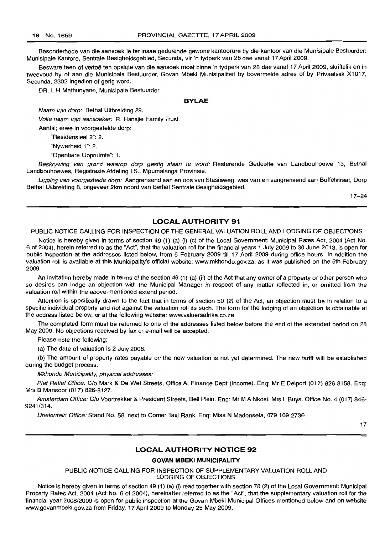Besonderhede van die aansoek lê ter insae gedurende gewone kantoorure by die kantoor van die Munisipale Bestuurder: Munisipale Kantore, Sentrale Besigheidsgebied, Secunda, vir 'n tydperk van 28 dae vanaf 17 April 2009.

Besware teen of vertoë ten opsigte van die aansoek moet binne 'n tydperk van 28 dae vanaf 17 April 2009, skriftelik en in tweevoud by of aan die Munisipale Bestuurder, Govan Mbeki Munisipaliteit by bovermelde adres of by Privaatsak X1017, Secunda, 2302 ingedien of gerig word.

DR. L H Mathunyane, Munisipale Bestuurder.

#### **BVLAE**

Naam van dorp: Bethal Uitbreiding 29.

Volle naam van aansoeker: R. Hansjie Family Trust.

Aantal; erwe in voorgestelde dorp:

"Residensieel 2": 2.

"Nywerheid 1": 2.

"Open bare Oopruimte": 1.

Beskrywing van grond waarop dorp gestig staan te word: Resterende Gedeelte van Landbouhoewe 13, Bethal Landbouhoewes, Registrasie Afdeling I.S., Mpumalanga Provinsie.

Ligging van voorgestelde dorp: Aangrensend aan en oos van Stasieweg, wes van en aangrensend aan Buffelstraat, Dorp Bethal Uitbreiding 8, ongeveer 2km noord van Bethal Sentrale Besigheidsgebied.

17-24

# **LOCAL AUTHORITY 91**

PUBLIC NOTICE CALLING FOR INSPECTION OF THE GENERAL VALUATION ROLLAND LODGING OF OBJECTIONS

Notice is hereby given in terms of section 49 (1) (a) (i) (c) of the Local Government: Municipal Rates Act, 2004 (Act No. 6 of 2004), herein referred to as the "Act", that the valuation roll for the financial years 1 July 2009 to 30 June 2013, is open for public inspection at the addresses listed below, from 5 February 2009 till 17 April 2009 during office hours. In addition the valuation roll is available at this Municipality's official website: www.mkhondo.gov.za, as it was published on the 5th February 2009.

An invitation hereby made in terms of the section 49 (1) (a) (ii) of the Act that any owner of a property or other person who so desires can lodge an objection with the Municipal Manager in respect of any matter reflected in, or omitted from the valuation roll within the above-mentioned extend period.

Attention is specifically drawn to the fact that in terms of section 50 (2) of the Act, an objection must be in relation to a specific individual property and not against the valuation roll as such. The form for the lodging of an objection is obtainable at the address listed below, or at the following website: www.valuersafrika.co.za

The completed form must be returned to one of the addresses listed below before the end of the extended period on 28 May 2009. No objections received by fax or e-mail will be accepted.

Please note the following:

(a) The date of valuation is 2 July 2008.

(b) The amount of property rates payable on the new valuation is not yet determined. The new tariff will be established during the budget process.

Mkhondo Municipality, physical addresses:

Piet Retief Office: C/o Mark & De Wet Streets, Office A, Finance Dept (Income). Enq: Mr E Delport (017) 826 8158. Enq: Mrs B Mansoor (017) 826-8127.

Amsterdam Office: C/o Voortrekker & President Streets, Bell Plein. Eng: Mr M A Nkosi. Mrs L Buys. Office No. 4 (017) 846-9241/314.

Driefontein Office: Stand No. 58, next to Corner Taxi Rank. Enq: Miss N Madonsela, 079 169 2736.

17

# **LOCAL AUTHORITY NOTICE 92**

#### **GOVAN MBEKI MUNICIPALITY**

PUBLIC NOTICE CALLING FOR INSPECTION OF SUPPLEMENTARY VALUATION ROLL AND LODGING OF OBJECTIONS

Notice is hereby given in terms of section 49 (1) (a) (i) read together with section 78 (2) of the Local Government: Municipal Property Rates Act, 2004 (Act No. 6 of 2004), hereinafter referred to as the "Act", that the supplementary valuation roll for the financial year 2008/2009 is open for public inspection at the Govan Mbeki Municipal Offices mentioned below and on website www.govanmbeki.gov.za from Friday, 17 April 2009 to Monday 25 May 2009.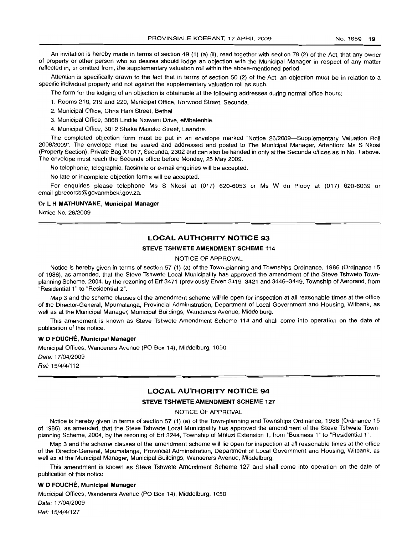An invitation is hereby made in terms of section 49 (1) (a) (ii), read together with section 78 (2) of the Act, that any owner of property or other person who so desires should lodge an objection with the Municipal Manager in respect of any matter reflected in, or omitted from, the supplementary valuation roll within the above-mentioned period.

Attention is specifically drawn to the fact that in terms of section 50 (2) of the Act, an objection must be in relation to a specific individual property and not against the supplementary valuation roll as such.

The form for the lodging of an objection is obtainable at the following addresses during normal office hours:

1. Rooms 218, 219 and 220, Municipal Office, Horwood Street, Secunda.

2. Municipal Office, Chris Hani Street, Bethal.

3. Municipal Office, 3868 Lindile Nxiweni Drive, eMbalenhle.

4. Municipal Office, 3012 Shaka Maseko Street, Leandra.

The completed objection form must be put in an envelope marked "Notice 26/2009-Supplementary Valuation Roll 2008/2009". The envelope must be sealed and addressed and posted to The Municipal Manager, Attention: Ms S Nkosi (Property Section), Private Bag X1017, Secunda, 2302 and can also be handed in only at the Secunda offices as in No.1 above. The envelope must reach the Secunda office before Monday, 25 May 2009.

No telephonic, telegraphic, facsimile or e-mail enquiries will be accepted.

No late or incomplete objection forms will be accepted.

For enquiries please telephone Ms S Nkosi at (017) 620-6053 or Ms W du Plooy at (017) 620-6039 or email gbrecords@govanmbeki.gov.za.

#### **Dr L H MA"rHUNYANE, Municipal Manager**

Notice No. 26/2009

# **LOCAL AUTHORITY NOTICE 93**

# **STEVE TSHWETE AMENDMENT SCHEME** 114

NOTICE OF APPROVAL

Notice is hereby given in terms of section 57 (1) (a) of the Town-planning and Townships Ordinance, 1986 (Ordinance 15 of 1986), as amended, that the Steve Tshwete Local Municipality has approved the amendment of the Steve Tshwete Townplanning Scheme, 2004, by the rezoning of Erf 3471 (previously Erven 3419-3421 and 3446-3449, Township of Aerorand, from "Residential 1" to "Residential 2".

Map 3 and the scheme clauses of the amendment scheme will lie open for inspection at all reasonable times at the office of the Director-General, Mpumalanga, Provincial Administration, Department of Local Government and Housing, Witbank, as well as at the Municipal Manager, Municipal BUildings, Wanderers Avenue, Middelburg.

This amendment is known as Steve Tshwete Amendment Scheme 114 and shall come into operation on the date of publication of this notice.

#### W **0 FOUCHE, Municipal Manager**

Municipal Offices, Wanderers Avenue (PO Box 14), Middelburg, 1050 Date: 17/04/2009 Ref: 15/4/4/112

# **LOCAL AUTHORITY NOTICE 94**

#### **STEVE TSHWETE AMENDMENT SCHEME 127**

NOTICE OF APPROVAL

Notice is hereby given in terms of section 57 (1) (a) of the Town-planning and Townships Ordinance, 1986 (Ordinance 15 of 1986), as amended, that the Steve Tshwete Local Municipality has approved the amendment of the Steve Tshwete Townplanning Scheme, 2004, by the rezoning of Erf 3244, Township of Mhluzi Extension 1, from "Business 1" to "Residential 1".

Map 3 and the scheme clauses of the amendment scheme will lie open for inspection at all reasonable times at the office of the Director-General, Mpumalanga, Provincial Administration, Department of Local Government and Housing, Witbank, as well as at the Municipal Manager, Municipal Buildings, Wanderers Avenue, Middelburg.

This amendment is known as Steve Tshwete Amendment Scheme 127 and shall come into operation on the date of publication of this notice.

#### W **0 FOUCHE, Municipal Manager**

Municipal Offices, Wanderers Avenue (PO Box 14), Middelburg, 1050 Date: 17/04/2009 Ref: 15/4/4/127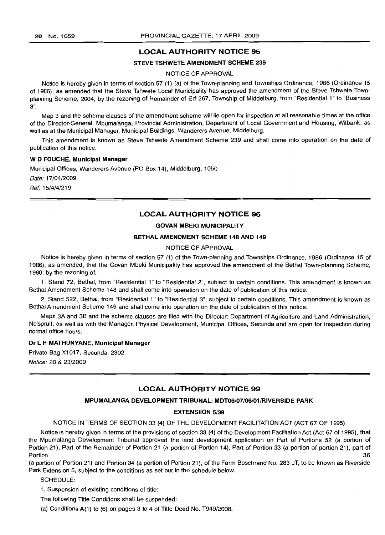# LOCAL AUTHORITY NOTICE 95

#### STEVE TSHWETE AMENDMENT SCHEME 239

NOTICE OF APPROVAL

Notice is hereby given in terms of section 57 (1) (a) of the Town-planning and Townships Ordinance, 1986 (Ordinance 15 of 1986), as amended that the Steve Tshwete Local Municipality has approved the amendment of the Steve Tshwete Townplanning Scheme, 2004, by the rezoning of Remainder of Erf 267, Township of Middelburg, from "Residential 1" to "Business 3".

Map 3 and the scheme clauses of the amendment scheme will lie open for inspection at all reasonable times at the office of the Director-General, Mpumalanga, Provincial Administration, Department of Local Government and Housing, Witbank, as well as at the Municipal Manager, Municipal Buildings, Wanderers Avenue, Middelburg.

This amendment is known as Steve Tshwete Amendment Scheme 239 and shall come into operation on the date of publication of this notice.

#### W D FOUCHE, Municipal Manager

Municipal Offices, Wanderers Avenue (PO Box 14), Middelburg, 1050 Date: 17/04/2009

Ref: 15/4/4/219

# **LOCAL AUTHORITY NOTICE 96**

# GOVAN MBEKI MUNICIPALITY

#### BETHALAMENDMENT SCHEME 148 AND 149

#### NOTICE OF APPROVAL

Notice is hereby given in terms of section 57 (1) of the Town-planning and Townships Ordinance, 1986 (Ordinance 15 of 1986), as amended, that the Govan Mbeki Municipality has approved the amendment of the Bethal Town-planning Scheme, 1980, by the rezoning of:

1. Stand 72, Bethal, from "Residential 1" to "Residential 2", subject to certain conditions. This amendment is known as Bethal Amendment Scheme 148 and shall come into operation on the date of publication of this notice.

2. Stand 522, Bethal, from "Residential 1" to "Residential 3", subject to certain conditions. This amendment is known as Bethal Amendment Scheme 149 and shall come into operation on the date of publication of this notice.

Maps 3A and 3B and the scheme clauses are filed with the Director: Department of Agriculture and Land Administration, Nelspruit, as well as with the Manager, Physical Development, Municipal Offices, Secunda and are open for inspection during normal office hours.

## Dr L H MATHLINYANE, Municipal Manager

Private Bag X1017, Secunda, 2302 Notice: 20 & 23/2009

# LOCAL AUTHORITY NOTICE 99

# MPUMALANGA DEVELOPMENT TRIBUNAL: MDT06/07/06/01/RIVERSIDE PARK

#### EXTENSIION 5/39

NOTICE IN TERMS OF SECTION 33 (4) OF THE DEVELOPMENT FACILITATION ACT (ACT 67 OF 1995)

Notice is hereby given in terms of the provisions of section 33 (4) of the Development Facilitation Act (Act 67 of 1995), that the Mpumalanga Development Tribunal approved the land development application on Part of Portions 52 (a portion of Portion 21), Part of the Remainder of Portion 21 (a portion of Portion 14), Part of Portion 33 (a portion of portion 21), part of Portion and the contract of the contract of the contract of the contract of the contract of the contract of the contract of the contract of the contract of the contract of the contract of the contract of the contract of th

(a portion of Portion 21) and Portion 34 (a portion of Portion 21), of the Farm Boschrand No. 283 JT, to be known as Riverside Park Extension 5, subject to the conditions as set out in the schedule below.

SCHEDULE:

1. Suspension of existing conditions of title:

The following Title Conditions shall be suspended:

(a) Conditions A(1) to (6) on pages 3 to 4 of Title Deed No. T949/2008.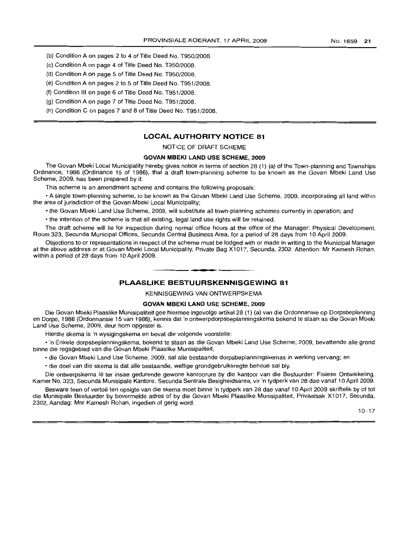- (b) Condition A on pages 2 to 4 of Title Deed No. T950/2008.
- (c) Condition A on page 4 of Title Deed No. T950/2008.
- (d) Condition A on page 5 of Title Deed No. T950/2008.
- (e) Condition A on pages 2 to 5 of Title Deed No. T951/2008.
- (f) Condition III on page 6 of Title Deed No. T951/2008.
- (g) Condition A on page 7 of Title Deed No. T951/2008.
- (h) Condition C on pages 7 and 8 of Title Deed No. T951 /2008.

# LOCAL AUTHORITY NOTICE 81

NOTICE OF DRAFT SCHEME

# GOVAN MBEKI LAND USE SCHEME, 2009

The Govan Mbeki Local Municipality hereby gives notice in terms of section 28 (1) (a) of the Town-planning and Townships Ordinance, 1986 (Ordinance 15 of 1986), that a draft town-planning scheme to be known as the Govan Mbeki Land Use Scheme, 2009, has been prepared by it.

This scheme is an amendment scheme and contains the following proposals:

• A single town-planning scheme, to be known as the Govan Mbeki Land Use Scheme, 2009, incorporating all land within the area of jurisdiction of the Govan Mbeki Local Municipality;

• the Govan Mbeki Land Use Scheme, 2009, will substitute all town-planning schemes currently in operation; and

• the intention of the scheme is that all existinq, legal land use rights will be retained.

The draft scheme will lie for inspection during normal office hours at the office of the Manager: Physical Development, Room 323, Secunda Municipal Offices, Secunda Central Business Area, for a period of 28 days from 10 April 2009.

Objections to or representations in respect of the scheme must be lodged with or made in writing to the Municipal Manager at the above address or at Govan Mbeki Local Municipality, Private Bag X1017, Secunda, 2302. Attention: Mr Kamesh Rohan, within a period of 28 days from 10 April 2009.

# PLAASLIKE BESTUURSKENNISGEWING 81

• **••**

KENNISGEWING VAN ONTWERPSKEMA

#### GOVAN MBEKI LAND USE SCHEME, 2009

Die Govan Mbeki Plaaslike Munisipaliteit gee hiermee ingevolge artikel 28 (1) (a) van die Ordonnansie op Dorpsbeplanning en Dorpe, 1986 (Ordonnansie 15 van 1986), kennis dat 'n ontwerpdorpsbeplanningskema bekend te staan as die Govan Mbeki Land Use Scheme, 2009, deur hom opgestel is.

Hierdie skema is 'n wysigingskema en bevat die volgende voorstelle:

• 'n Enkele dorpsbeplanningskema, bekend te staan as die Govan Mbeki Land Use Scheme, 2009, bevattende aile grond binne die regsgebied van die Govan Mbeki Plaaslike Munisipaliteit;

- die Govan Mbeki Land Use Scheme, 2009, sal aile bestaande dorpsbeplanningskemas in werking vervang; en
- die doel van die skema is dat aile bestaande, wettige grondgebruiksregte behoue sal bly.

Die ontwerpskema lê ter insae gedurende gewone kantoorure by die kantoor van die Bestuurder: Fisiese Ontwikkeling, Kamer No. 323, Secunda Munisipale Kantore, Secunda Sentrale Besigheidsarea, vir 'n tydperk van 28 dae vanaf 10 April 2009.

Besware teen of vertoë ten opsigte van die skema moet binne 'n tydperk van 28 dae vanaf 10 April 2009 skriftelik by of tot die Munisipale Bestuurder by bovermelde adres of by die Govan Mbeki Plaaslike Munisipaliteit, Privaatsak X1017, Secunda, 2302, Aandag: Mnr Kamesh Rohan, ingedien of gerig word.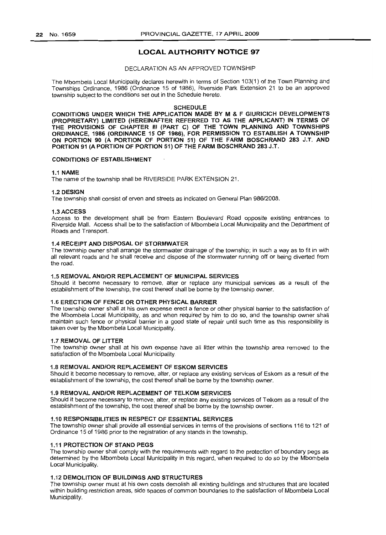# **LOCAL AUTHORITY NOTICE 97**

#### DECLARATION AS AN APPROVED TOWNSHIP

The Mbombela Local Municipality declares herewith in terms of Section 103(1) of the Town Planning and Townships Ordinance, 1986 (Ordinance 15 of 1986), Riverside Park Extension 21 to be an approved township subject to the conditions set out in the Schedule hereto.

#### SCHEDULE

CONDITIONS UNDER WHICH THE APPLICATION MADE BY M & F GIURICICH DEVELOPMENTS (PROPRIETARY) LIMITED (HEREINAFTER REFERRED TO AS THE APPLICANT) IN TERMS OF THE PROVISIONS OF CHAPTER III (PART C) OF THE TOWN PLANNING AND TOWNSHIPS ORDINANCE, 1986 (ORDINANCE 15 OF 1986), FOR PERMISSION TO ESTABLISH A TOWNSHIP ON PORTION 90 (A PORTION OF PORTION 51) OF THE FARM BOSCHRAND 283 J.T. AND PORTION 91 (A PORTION OF PORTION 51) OF THE FARM BOSCHRAND 283 J.T.

#### CONDITIONS OF ESTABLISHMENT

#### 1.1 NAME

The name of the township shall be RIVERSIDE PARK EXTENSION 21.

#### 1.2 DESIGN

The township shall consist of erven and streets as indicated on General Plan 986/2008.

#### 1.3 ACCESS

Access to the development shall be from Eastern Boulevard Road opposite existing entrances to Riverside Mall. Access shall be to the satisfaction of Mbombela Local Municipality and the Department of Roads and Transport.

# 1.4 RECEIPT AND DISPOSAL OF STORMWATER

The township owner shall arrange the stormwater drainage of the township; in such a way as to fit in with all relevant roads and he shall receive and dispose of the stormwater running off or being diverted from the road.

#### 1.5 REMOVAL AND/OR REPLACEMENT OF MUNICIPAL SERVICES

Should it become necessary to remove, alter or replace any municipal services as a result of the establishment of the township, the cost thereof shall be borne by the township owner.

#### 1.6 ERECTION OF FENCE OR OTHER PHYSICAL BARRIER

The township owner shall at his own expense erect a fence or other physical barrier to the satisfaction of the Mbombela Local Municipality, as and when required by him to do so, and the township owner shall maintain such fence or physical barrier in a good state of repair until such time as this responsibility is taken over by the Mbombela Local Municipality.

#### 1.7 REMOVAL OF LITTER

The township owner shall at his own expense have all litter within the township area removed to the satisfaction of the Mbombela Local Municipality.

#### 1.8 REMOVAL AND/OR REPLACEMENT OF ESKOM SERVICES

Should it become necessary to remove, alter, or replace any existing services of Eskom as a result of the establishment of the township, the cost thereof shall be borne by the township owner.

#### 1.9 REMOVAL AND/OR REPLACEMENT OF TELKOM SERVICES

Should it become necessary to remove, alter, or replace any existing services of Telkom as a result of the establishment of the township, the cost thereof shall be borne by the township owner.

#### 1.10 RESPONSIBILITIES IN RESPECT OF ESSENTIAL SERVICES

The township owner shall provide all essential services in terms of the provisions of sections 116 to 121 of Ordinance 15 of 1986 prior to the registration of any stands in the township.

#### 1.11 PROTECTION OF 5TAND PEGS

The township owner shall comply with the requirements with regard to the protection of boundary pegs as determined by the Mbombela Local Municipality in this regard, when required to do so by the Mbombela Local Municipality.

# 1.12 DEMOLITION OF BUILDINGS AND STRUCTURES

The township owner must at his own costs demolish all existing buildings and structures that are located within building restriction areas, side spaces of common boundaries to the satisfaction of Mbombela Local Municipality.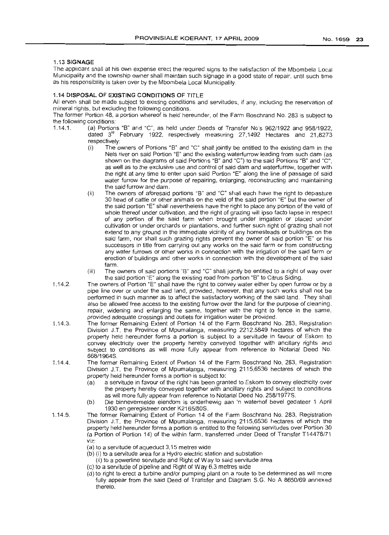#### 1.13 SIGNAGE

The applicant shall at his own expense erect the required signs to the satisfaction of the Mbombela Local Municipality and the township owner shall maintain such signage in a good state of repair, until such time as his responsibility is taken over by the Mbombela Local Municipality

#### 1.14 DISPOSAL OF EXISTING CONDITIONS OF TITLE

All erven shall be made subject to existinq conditions and servitudes, if any, including the reservation of mineral rights, but excluding the following conditions.

The former Portion 48, a portion whereof is held hereunder, of the Farm Boschrand No. 283 is subject to the following conditions:

- 1.14.1. (a) Portions "B" and "C", as held under Deeds of Transfer No's 962/1922 and 958/1922, dated  $3<sup>rd</sup>$  February 1922, respectively measuring 27,1492 Hectares and 21,8273 respectively:
	- (i) The owners of Portions "B" and "C" shall jointly be entitled to the existing dam in the Nels river on said Portion "E" and the existing waterfurrow leading from such dam (as shown on the diagrams of said Portions "B" and "C") to the said Portions "B" and "C", as well as to the exclusive use and control of said dam and waterfurrow, together with the right at any time to enter upon said Portion "E" along the line of passage of said water furrow for the purpose of repairing, enlarging, reconstructing and maintaining the said furrow and dam.
	- (ii) The owners of aforesaid portions "B" and "C" shall each have the right to depasture 30 head of cattle or other animals on the veld of the said portion "E" but the owner of the said portion "E" shall nevertheless have the right to place any portion of the veld of whole thereof under cultivation, and the right of grazing will ipso facto lapse in respect of any portion of the said farm when brought under irrigation or placed under cultivation or under orchards or plantations, and further such right of grazing shall not extend to any ground in the immediate vicinity of any homesteads or buildings on the said farm, nor shall such grazing rights prevent the owner of said portion "E" or his successors in title from carrying out any works on the said farm or from constructing any water furrows or other works in connection with the irrigation of the said farm or erection of buildinqs and other works in connection with the development of the said farm.
	- (iii) The owners of said portions "B" and "C" shall jointly be entitled to a right of way over the said portion "E" along the existing road from portion "B" to Citrus Siding.
- 1.14.2. The owners of Portion "E" shall have the right to convey water either by open furrow or by a pipe line over or under the said land, provided, however, that any such works shall not be performed in such manner as to affect the satisfactory working of the said land. They shall also be allowed free access to the existing furrow over the land for the purpose of cleaning, repair, widening and enlarging the same, together with the right to fence in the same, provided adequate crossings and outlets for irrigation water be provided.
- 1.14.3. The former Remaining Extent of Portion 14 of the Farm Boschrand No. 283, Registration Division J.T. the Province of Mpumalanga, measuring 2212,5849 hectares of which the property held hereunder forms a portion is subject to a servitude in favour of Eskom to convey electricity over the property hereby conveyed together with ancillary rights and subject to conditions as will more fully appear from reference to Notarial Deed No. 668/1964S.
- 1.14.4. The former Remaining Extent of Portion 14 of the Farm Boschrand No, 283, Registration Division J.T. the Province of Mpumafanga, measuring 2115,6536 hectares of which the property held hereunder forms a portion is subject to:
	- (a) a servitude in favour of the right has been granted to Eskom to convey electricity over the property hereby conveyed together with ancillary rights and subject to conditions as will more fully appear from reference to Notarial Deed No. 258/1977S.
	- (b) Die binnevermelde eiendom is onderhewig aan 'n waterhof bevel gedateer 1 April 1930 en geregistreer onder K2165/80S.
- 1.14.5. The former Remaining Extent of Portion 14 of the Farm Boschrand No. 283, Registration Division J.T. the Province of Mpumalanga, measuring 2115,6536 hectares of which the property held hereunder forms a portion is entitled to the following servitudes over Portion 30 (a Portion of Portion 14) of the within farm, transferred under Deed of Transfer T14478/71 viz:
	- (a) to a servitude of aqueduct 3,15 metres wide
	- (b) (i) to a servitude area for a Hydro electric station and substation
		- (ii) to a powerline servitude and Right of Way to said servitude area
	- (c) to a servitude of pipeline and Right of Way 6.3 metres wide
	- (d) to right to erect a turbine and/or pumping plant on a route to be determined as will more fully appear from the said Deed of Transfer and Diagram S.G. No A 8650/69 annexed thereto.